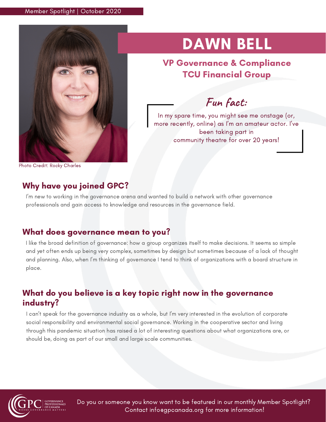

# DAWN BELL

VP Governance & Compliance TCU Financial Group

**Fun fact:**

In my spare time, you might see me onstage (or, more recently, online) as I'm an amateur actor. I've been taking part in community theatre for over 20 years!

Photo Credit: Rocky Charles

### Why have you joined GPC?

I'm new to working in the governance arena and wanted to build a network with other governance professionals and gain access to knowledge and resources in the governance field.

#### What does governance mean to you?

I like the broad definition of governance: how a group organizes itself to make decisions. It seems so simple and yet often ends up being very complex, sometimes by design but sometimes because of a lack of thought and planning. Also, when I'm thinking of governance I tend to think of organizations with a board structure in place.

### What do you believe is a key topic right now in the governance industry?

I can't speak for the governance industry as a whole, but I'm very interested in the evolution of corporate social responsibility and environmental social governance. Working in the cooperative sector and living through this pandemic situation has raised a lot of interesting questions about what organizations are, or should be, doing as part of our small and large scale communities.



Do you or someone you know want to be featured in our monthly Member Spotlight? Contact info@gpcanada.org for more information!